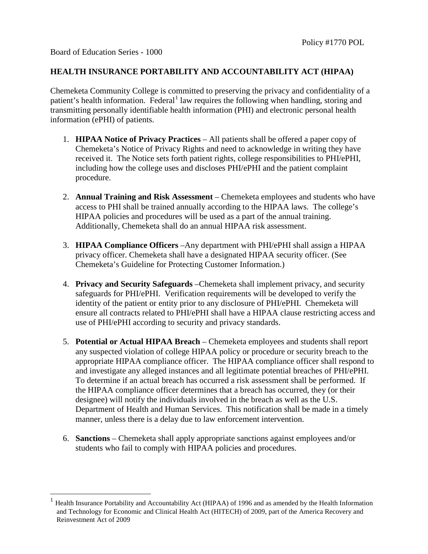<span id="page-0-0"></span> $\overline{a}$ 

## **HEALTH INSURANCE PORTABILITY AND ACCOUNTABILITY ACT (HIPAA)**

Chemeketa Community College is committed to preserving the privacy and confidentiality of a patient's health information. Federal<sup>[1](#page-0-0)</sup> law requires the following when handling, storing and transmitting personally identifiable health information (PHI) and electronic personal health information (ePHI) of patients.

- 1. **HIPAA Notice of Privacy Practices** All patients shall be offered a paper copy of Chemeketa's Notice of Privacy Rights and need to acknowledge in writing they have received it. The Notice sets forth patient rights, college responsibilities to PHI/ePHI, including how the college uses and discloses PHI/ePHI and the patient complaint procedure.
- 2. **Annual Training and Risk Assessment** Chemeketa employees and students who have access to PHI shall be trained annually according to the HIPAA laws. The college's HIPAA policies and procedures will be used as a part of the annual training. Additionally, Chemeketa shall do an annual HIPAA risk assessment.
- 3. **HIPAA Compliance Officers** –Any department with PHI/ePHI shall assign a HIPAA privacy officer. Chemeketa shall have a designated HIPAA security officer. (See Chemeketa's Guideline for Protecting Customer Information.)
- 4. **Privacy and Security Safeguards** –Chemeketa shall implement privacy, and security safeguards for PHI/ePHI. Verification requirements will be developed to verify the identity of the patient or entity prior to any disclosure of PHI/ePHI. Chemeketa will ensure all contracts related to PHI/ePHI shall have a HIPAA clause restricting access and use of PHI/ePHI according to security and privacy standards.
- 5. **Potential or Actual HIPAA Breach** Chemeketa employees and students shall report any suspected violation of college HIPAA policy or procedure or security breach to the appropriate HIPAA compliance officer. The HIPAA compliance officer shall respond to and investigate any alleged instances and all legitimate potential breaches of PHI/ePHI. To determine if an actual breach has occurred a risk assessment shall be performed. If the HIPAA compliance officer determines that a breach has occurred, they (or their designee) will notify the individuals involved in the breach as well as the U.S. Department of Health and Human Services. This notification shall be made in a timely manner, unless there is a delay due to law enforcement intervention.
- 6. **Sanctions** Chemeketa shall apply appropriate sanctions against employees and/or students who fail to comply with HIPAA policies and procedures.

<sup>1</sup> Health Insurance Portability and Accountability Act (HIPAA) of 1996 and as amended by the Health Information and Technology for Economic and Clinical Health Act (HITECH) of 2009, part of the America Recovery and Reinvestment Act of 2009